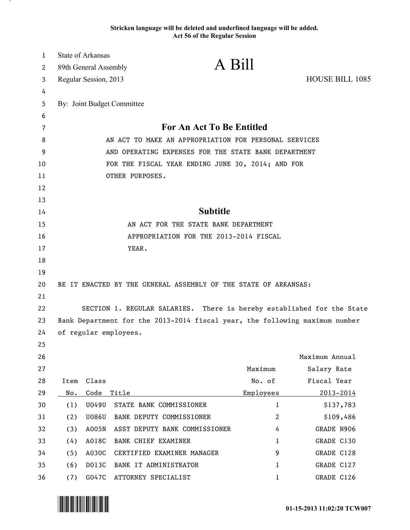## **Stricken language will be deleted and underlined language will be added. Act 56 of the Regular Session**

| 1  |                                                       | <b>State of Arkansas</b> |                                                                             |                |                        |  |  |
|----|-------------------------------------------------------|--------------------------|-----------------------------------------------------------------------------|----------------|------------------------|--|--|
| 2  |                                                       | 89th General Assembly    | A Bill                                                                      |                |                        |  |  |
| 3  |                                                       | Regular Session, 2013    |                                                                             |                | <b>HOUSE BILL 1085</b> |  |  |
| 4  |                                                       |                          |                                                                             |                |                        |  |  |
| 5  |                                                       |                          | By: Joint Budget Committee                                                  |                |                        |  |  |
| 6  |                                                       |                          |                                                                             |                |                        |  |  |
| 7  | <b>For An Act To Be Entitled</b>                      |                          |                                                                             |                |                        |  |  |
| 8  | AN ACT TO MAKE AN APPROPRIATION FOR PERSONAL SERVICES |                          |                                                                             |                |                        |  |  |
| 9  | AND OPERATING EXPENSES FOR THE STATE BANK DEPARTMENT  |                          |                                                                             |                |                        |  |  |
| 10 | FOR THE FISCAL YEAR ENDING JUNE 30, 2014; AND FOR     |                          |                                                                             |                |                        |  |  |
| 11 | OTHER PURPOSES.                                       |                          |                                                                             |                |                        |  |  |
| 12 |                                                       |                          |                                                                             |                |                        |  |  |
| 13 |                                                       |                          |                                                                             |                |                        |  |  |
| 14 |                                                       |                          | <b>Subtitle</b>                                                             |                |                        |  |  |
| 15 | AN ACT FOR THE STATE BANK DEPARTMENT                  |                          |                                                                             |                |                        |  |  |
| 16 | APPROPRIATION FOR THE 2013-2014 FISCAL                |                          |                                                                             |                |                        |  |  |
| 17 |                                                       |                          | YEAR.                                                                       |                |                        |  |  |
| 18 |                                                       |                          |                                                                             |                |                        |  |  |
| 19 |                                                       |                          |                                                                             |                |                        |  |  |
| 20 |                                                       |                          | BE IT ENACTED BY THE GENERAL ASSEMBLY OF THE STATE OF ARKANSAS:             |                |                        |  |  |
| 21 |                                                       |                          |                                                                             |                |                        |  |  |
| 22 |                                                       |                          | SECTION 1. REGULAR SALARIES. There is hereby established for the State      |                |                        |  |  |
| 23 |                                                       |                          | Bank Department for the 2013-2014 fiscal year, the following maximum number |                |                        |  |  |
| 24 |                                                       |                          | of regular employees.                                                       |                |                        |  |  |
| 25 |                                                       |                          |                                                                             |                |                        |  |  |
| 26 |                                                       |                          |                                                                             |                | Maximum Annual         |  |  |
| 27 |                                                       |                          |                                                                             | Maximum        | Salary Rate            |  |  |
| 28 | Item                                                  | Class                    |                                                                             | No. of         | Fiscal Year            |  |  |
| 29 | No.                                                   | Code                     | Title                                                                       | Employees      | $2013 - 2014$          |  |  |
| 30 | (1)                                                   | U049U                    | STATE BANK COMMISSIONER                                                     | $\mathbf{1}$   | \$137,783              |  |  |
| 31 | (2)                                                   | <b>U086U</b>             | BANK DEPUTY COMMISSIONER                                                    | $\overline{c}$ | \$109,486              |  |  |
| 32 | (3)                                                   | A005N                    | ASST DEPUTY BANK COMMISSIONER                                               | 4              | GRADE N906             |  |  |
| 33 | (4)                                                   | A018C                    | BANK CHIEF EXAMINER                                                         | 1              | GRADE C130             |  |  |
| 34 | (5)                                                   | A030C                    | CERTIFIED EXAMINER MANAGER                                                  | 9              | GRADE C128             |  |  |
| 35 | (6)                                                   | D013C                    | BANK IT ADMINISTRATOR                                                       | 1              | GRADE C127             |  |  |
| 36 | (7)                                                   | G047C                    | ATTORNEY SPECIALIST                                                         | 1              | GRADE C126             |  |  |



.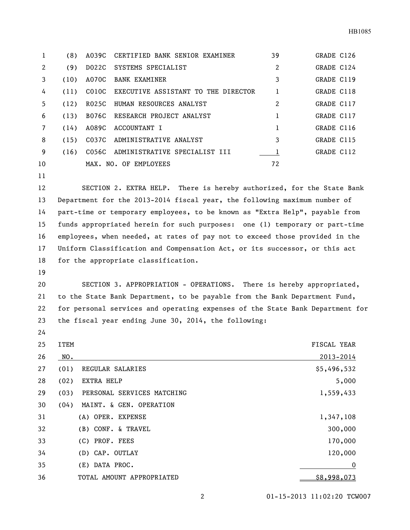|    | (8)  | A039C | CERTIFIED BANK SENIOR EXAMINER      | 39             | GRADE C126 |
|----|------|-------|-------------------------------------|----------------|------------|
| 2  | (9)  | D022C | SYSTEMS SPECIALIST                  | $\overline{2}$ | GRADE C124 |
| 3  | (10) | A070C | BANK EXAMINER                       | 3              | GRADE C119 |
| 4  | (11) | CO10C | EXECUTIVE ASSISTANT TO THE DIRECTOR | 1              | GRADE C118 |
| 5  | (12) | R025C | HUMAN RESOURCES ANALYST             | $\overline{2}$ | GRADE C117 |
| 6  | (13) | B076C | RESEARCH PROJECT ANALYST            | 1              | GRADE C117 |
| 7  | (14) | A089C | ACCOUNTANT I                        | 1              | GRADE C116 |
| 8  | (15) | C037C | ADMINISTRATIVE ANALYST              | 3              | GRADE C115 |
| 9  | (16) | C056C | ADMINISTRATIVE SPECIALIST III       | 1              | GRADE C112 |
| 10 |      |       | MAX. NO. OF EMPLOYEES               | 72             |            |
| 11 |      |       |                                     |                |            |

 SECTION 2. EXTRA HELP. There is hereby authorized, for the State Bank Department for the 2013-2014 fiscal year, the following maximum number of part-time or temporary employees, to be known as "Extra Help", payable from funds appropriated herein for such purposes: one (1) temporary or part-time employees, when needed, at rates of pay not to exceed those provided in the Uniform Classification and Compensation Act, or its successor, or this act for the appropriate classification.

 SECTION 3. APPROPRIATION - OPERATIONS. There is hereby appropriated, to the State Bank Department, to be payable from the Bank Department Fund, for personal services and operating expenses of the State Bank Department for the fiscal year ending June 30, 2014, the following:

| 25 | <b>ITEM</b>        |                            | <b>FISCAL YEAR</b> |
|----|--------------------|----------------------------|--------------------|
| 26 | NO.                |                            | 2013-2014          |
| 27 | (01)               | REGULAR SALARIES           | \$5,496,532        |
| 28 | (02)<br>EXTRA HELP |                            | 5,000              |
| 29 | (03)               | PERSONAL SERVICES MATCHING | 1,559,433          |
| 30 | (04)               | MAINT. & GEN. OPERATION    |                    |
| 31 |                    | (A) OPER. EXPENSE          | 1,347,108          |
| 32 |                    | (B) CONF. & TRAVEL         | 300,000            |
| 33 | (C) PROF. FEES     |                            | 170,000            |
| 34 |                    | (D) CAP. OUTLAY            | 120,000            |
| 35 | (E) DATA PROC.     |                            | 0                  |
| 36 |                    | TOTAL AMOUNT APPROPRIATED  | \$8,998,073        |

01-15-2013 11:02:20 TCW007